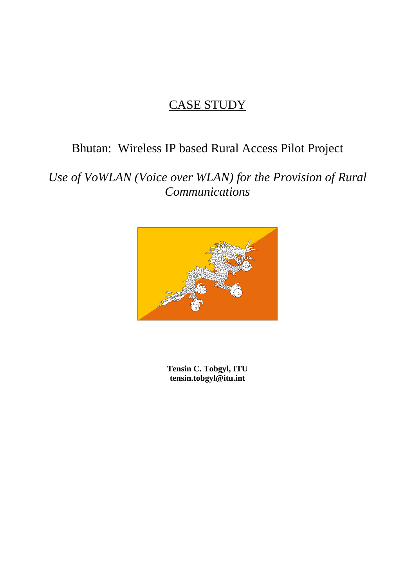# CASE STUDY

# Bhutan: Wireless IP based Rural Access Pilot Project

*Use of VoWLAN (Voice over WLAN) for the Provision of Rural Communications* 



 **Tensin C. Tobgyl, ITU tensin.tobgyl@itu.int**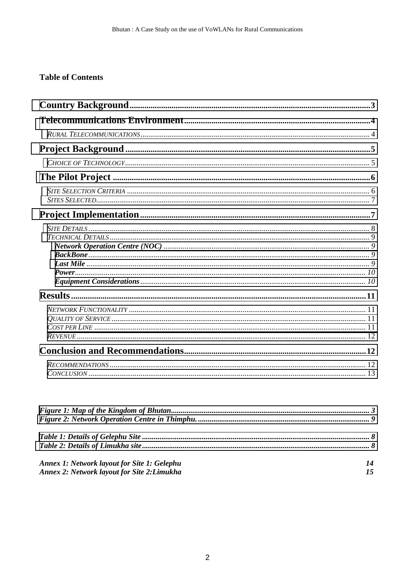## **Table of Contents**

| <b>Annex 1: Network layout for Site 1: Gelephu</b> | 14 |
|----------------------------------------------------|----|
| Annex 2: Network layout for Site 2: Limukha        | 15 |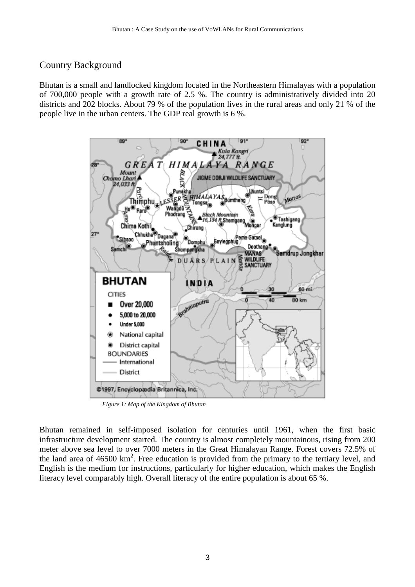# <span id="page-2-0"></span>Country Background

Bhutan is a small and landlocked kingdom located in the Northeastern Himalayas with a population of 700,000 people with a growth rate of 2.5 %. The country is administratively divided into 20 districts and 202 blocks. About 79 % of the population lives in the rural areas and only 21 % of the people live in the urban centers. The GDP real growth is 6 %.



*Figure 1: Map of the Kingdom of Bhutan*

Bhutan remained in self-imposed isolation for centuries until 1961, when the first basic infrastructure development started. The country is almost completely mountainous, rising from 200 meter above sea level to over 7000 meters in the Great Himalayan Range. Forest covers 72.5% of the land area of  $46500 \text{ km}^2$ . Free education is provided from the primary to the tertiary level, and English is the medium for instructions, particularly for higher education, which makes the English literacy level comparably high. Overall literacy of the entire population is about 65 %.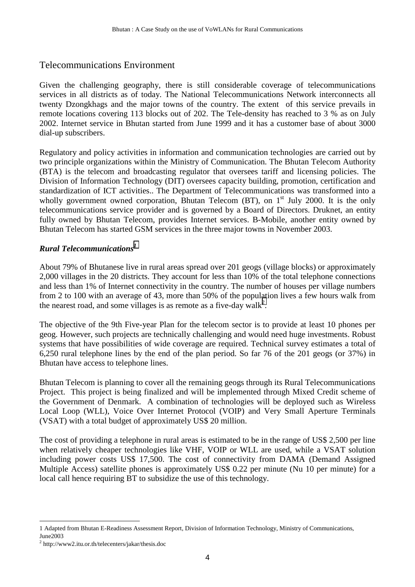# <span id="page-3-0"></span>Telecommunications Environment

Given the challenging geography, there is still considerable coverage of telecommunications services in all districts as of today. The National Telecommunications Network interconnects all twenty Dzongkhags and the major towns of the country. The extent of this service prevails in remote locations covering 113 blocks out of 202. The Tele-density has reached to 3 % as on July 2002. Internet service in Bhutan started from June 1999 and it has a customer base of about 3000 dial-up subscribers.

Regulatory and policy activities in information and communication technologies are carried out by two principle organizations within the Ministry of Communication. The Bhutan Telecom Authority (BTA) is the telecom and broadcasting regulator that oversees tariff and licensing policies. The Division of Information Technology (DIT) oversees capacity building, promotion, certification and standardization of ICT activities.. The Department of Telecommunications was transformed into a wholly government owned corporation, Bhutan Telecom (BT), on  $1<sup>st</sup>$  July 2000. It is the only telecommunications service provider and is governed by a Board of Directors. Druknet, an entity fully owned by Bhutan Telecom, provides Internet services. B-Mobile, another entity owned by Bhutan Telecom has started GSM services in the three major towns in November 2003.

#### *Rural Telecommunications<sup>1</sup>*

About 79% of Bhutanese live in rural areas spread over 201 geogs (village blocks) or approximately 2,000 villages in the 20 districts. They account for less than 10% of the total telephone connections and less than 1% of Internet connectivity in the country. The number of houses per village numbers from 2 to 100 with an average of 43, more than 50% of the population lives a few hours walk from the nearest road, and some villages is as remote as a five-day walk<sup>2</sup>.

The objective of the 9th Five-year Plan for the telecom sector is to provide at least 10 phones per geog. However, such projects are technically challenging and would need huge investments. Robust systems that have possibilities of wide coverage are required. Technical survey estimates a total of 6,250 rural telephone lines by the end of the plan period. So far 76 of the 201 geogs (or 37%) in Bhutan have access to telephone lines.

Bhutan Telecom is planning to cover all the remaining geogs through its Rural Telecommunications Project. This project is being finalized and will be implemented through Mixed Credit scheme of the Government of Denmark. A combination of technologies will be deployed such as Wireless Local Loop (WLL), Voice Over Internet Protocol (VOIP) and Very Small Aperture Terminals (VSAT) with a total budget of approximately US\$ 20 million.

The cost of providing a telephone in rural areas is estimated to be in the range of US\$ 2,500 per line when relatively cheaper technologies like VHF, VOIP or WLL are used, while a VSAT solution including power costs US\$ 17,500. The cost of connectivity from DAMA (Demand Assigned Multiple Access) satellite phones is approximately US\$ 0.22 per minute (Nu 10 per minute) for a local call hence requiring BT to subsidize the use of this technology.

<sup>1</sup> Adapted from Bhutan E-Readiness Assessment Report, Division of Information Technology, Ministry of Communications, June2003

<sup>&</sup>lt;sup>2</sup> http://www2.itu.or.th/telecenters/jakar/thesis.doc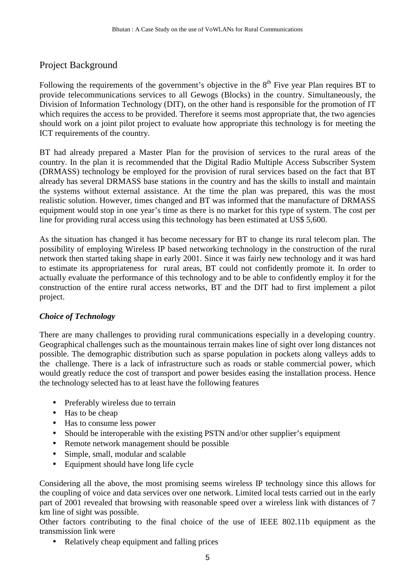# <span id="page-4-0"></span>Project Background

Following the requirements of the government's objective in the  $8<sup>th</sup>$  Five year Plan requires BT to provide telecommunications services to all Gewogs (Blocks) in the country. Simultaneously, the Division of Information Technology (DIT), on the other hand is responsible for the promotion of IT which requires the access to be provided. Therefore it seems most appropriate that, the two agencies should work on a joint pilot project to evaluate how appropriate this technology is for meeting the ICT requirements of the country.

BT had already prepared a Master Plan for the provision of services to the rural areas of the country. In the plan it is recommended that the Digital Radio Multiple Access Subscriber System (DRMASS) technology be employed for the provision of rural services based on the fact that BT already has several DRMASS base stations in the country and has the skills to install and maintain the systems without external assistance. At the time the plan was prepared, this was the most realistic solution. However, times changed and BT was informed that the manufacture of DRMASS equipment would stop in one year's time as there is no market for this type of system. The cost per line for providing rural access using this technology has been estimated at US\$ 5,600.

As the situation has changed it has become necessary for BT to change its rural telecom plan. The possibility of employing Wireless IP based networking technology in the construction of the rural network then started taking shape in early 2001. Since it was fairly new technology and it was hard to estimate its appropriateness for rural areas, BT could not confidently promote it. In order to actually evaluate the performance of this technology and to be able to confidently employ it for the construction of the entire rural access networks, BT and the DIT had to first implement a pilot project.

# *Choice of Technology*

There are many challenges to providing rural communications especially in a developing country. Geographical challenges such as the mountainous terrain makes line of sight over long distances not possible. The demographic distribution such as sparse population in pockets along valleys adds to the challenge. There is a lack of infrastructure such as roads or stable commercial power, which would greatly reduce the cost of transport and power besides easing the installation process. Hence the technology selected has to at least have the following features

- Preferably wireless due to terrain
- Has to be cheap
- Has to consume less power
- Should be interoperable with the existing PSTN and/or other supplier's equipment
- Remote network management should be possible
- Simple, small, modular and scalable
- Equipment should have long life cycle

Considering all the above, the most promising seems wireless IP technology since this allows for the coupling of voice and data services over one network. Limited local tests carried out in the early part of 2001 revealed that browsing with reasonable speed over a wireless link with distances of 7 km line of sight was possible.

Other factors contributing to the final choice of the use of IEEE 802.11b equipment as the transmission link were

• Relatively cheap equipment and falling prices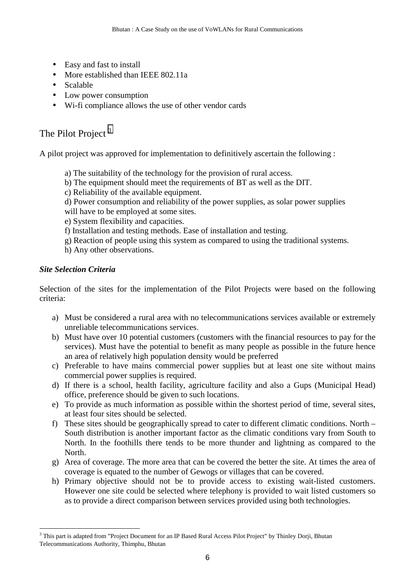- <span id="page-5-0"></span>• Easy and fast to install
- More established than IEEE 802.11a
- Scalable
- Low power consumption
- Wi-fi compliance allows the use of other vendor cards

# The Pilot Project<sup>3</sup>

A pilot project was approved for implementation to definitively ascertain the following :

- a) The suitability of the technology for the provision of rural access.
- b) The equipment should meet the requirements of BT as well as the DIT.
- c) Reliability of the available equipment.
- d) Power consumption and reliability of the power supplies, as solar power supplies will have to be employed at some sites.
- e) System flexibility and capacities.
- f) Installation and testing methods. Ease of installation and testing.
- g) Reaction of people using this system as compared to using the traditional systems.
- h) Any other observations.

# *Site Selection Criteria*

Selection of the sites for the implementation of the Pilot Projects were based on the following criteria:

- a) Must be considered a rural area with no telecommunications services available or extremely unreliable telecommunications services.
- b) Must have over 10 potential customers (customers with the financial resources to pay for the services). Must have the potential to benefit as many people as possible in the future hence an area of relatively high population density would be preferred
- c) Preferable to have mains commercial power supplies but at least one site without mains commercial power supplies is required.
- d) If there is a school, health facility, agriculture facility and also a Gups (Municipal Head) office, preference should be given to such locations.
- e) To provide as much information as possible within the shortest period of time, several sites, at least four sites should be selected.
- f) These sites should be geographically spread to cater to different climatic conditions. North South distribution is another important factor as the climatic conditions vary from South to North. In the foothills there tends to be more thunder and lightning as compared to the North.
- g) Area of coverage. The more area that can be covered the better the site. At times the area of coverage is equated to the number of Gewogs or villages that can be covered.
- h) Primary objective should not be to provide access to existing wait-listed customers. However one site could be selected where telephony is provided to wait listed customers so as to provide a direct comparison between services provided using both technologies.

<sup>&</sup>lt;sup>3</sup> This part is adapted from "Project Document for an IP Based Rural Access Pilot Project" by Thinley Dorji, Bhutan Telecommunications Authority, Thimphu, Bhutan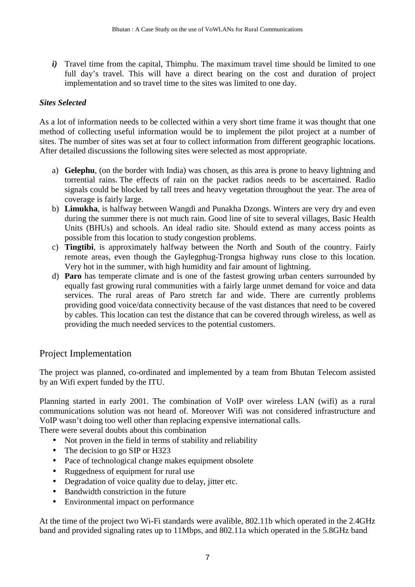<span id="page-6-0"></span>*i*) Travel time from the capital, Thimphu. The maximum travel time should be limited to one full day's travel. This will have a direct bearing on the cost and duration of project implementation and so travel time to the sites was limited to one day.

#### *Sites Selected*

As a lot of information needs to be collected within a very short time frame it was thought that one method of collecting useful information would be to implement the pilot project at a number of sites. The number of sites was set at four to collect information from different geographic locations. After detailed discussions the following sites were selected as most appropriate.

- a) **Gelephu**, (on the border with India) was chosen, as this area is prone to heavy lightning and torrential rains. The effects of rain on the packet radios needs to be ascertained. Radio signals could be blocked by tall trees and heavy vegetation throughout the year. The area of coverage is fairly large.
- b) **Limukha**, is halfway between Wangdi and Punakha Dzongs. Winters are very dry and even during the summer there is not much rain. Good line of site to several villages, Basic Health Units (BHUs) and schools. An ideal radio site. Should extend as many access points as possible from this location to study congestion problems.
- c) **Tingtibi**, is approximately halfway between the North and South of the country. Fairly remote areas, even though the Gaylegphug-Trongsa highway runs close to this location. Very hot in the summer, with high humidity and fair amount of lightning.
- d) **Paro** has temperate climate and is one of the fastest growing urban centers surrounded by equally fast growing rural communities with a fairly large unmet demand for voice and data services. The rural areas of Paro stretch far and wide. There are currently problems providing good voice/data connectivity because of the vast distances that need to be covered by cables. This location can test the distance that can be covered through wireless, as well as providing the much needed services to the potential customers.

# Project Implementation

The project was planned, co-ordinated and implemented by a team from Bhutan Telecom assisted by an Wifi expert funded by the ITU.

Planning started in early 2001. The combination of VoIP over wireless LAN (wifi) as a rural communications solution was not heard of. Moreover Wifi was not considered infrastructure and VoIP wasn't doing too well other than replacing expensive international calls.

There were several doubts about this combination

- Not proven in the field in terms of stability and reliability
- The decision to go SIP or H323
- Pace of technological change makes equipment obsolete
- Ruggedness of equipment for rural use
- Degradation of voice quality due to delay, jitter etc.
- Bandwidth constriction in the future
- Environmental impact on performance

At the time of the project two Wi-Fi standards were avalible, 802.11b which operated in the 2.4GHz band and provided signaling rates up to 11Mbps, and 802.11a which operated in the 5.8GHz band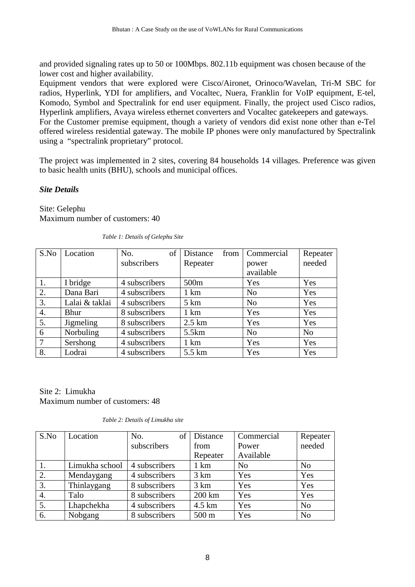<span id="page-7-0"></span>and provided signaling rates up to 50 or 100Mbps. 802.11b equipment was chosen because of the lower cost and higher availability.

Equipment vendors that were explored were Cisco/Aironet, Orinoco/Wavelan, Tri-M SBC for radios, Hyperlink, YDI for amplifiers, and Vocaltec, Nuera, Franklin for VoIP equipment, E-tel, Komodo, Symbol and Spectralink for end user equipment. Finally, the project used Cisco radios, Hyperlink amplifiers, Avaya wireless ethernet converters and Vocaltec gatekeepers and gateways. For the Customer premise equipment, though a variety of vendors did exist none other than e-Tel offered wireless residential gateway. The mobile IP phones were only manufactured by Spectralink using a "spectralink proprietary" protocol.

The project was implemented in 2 sites, covering 84 households 14 villages. Preference was given to basic health units (BHU), schools and municipal offices.

#### *Site Details*

Site: Gelephu Maximum number of customers: 40

| S.No           | Location         | of<br>No.     | from<br>Distance | Commercial     | Repeater       |
|----------------|------------------|---------------|------------------|----------------|----------------|
|                |                  | subscribers   | Repeater         | power          | needed         |
|                |                  |               |                  | available      |                |
| 1.             | I bridge         | 4 subscribers | 500 <sub>m</sub> | Yes            | Yes            |
| 2.             | Dana Bari        | 4 subscribers | $1 \text{ km}$   | N <sub>0</sub> | Yes            |
| 3.             | Lalai & taklai   | 4 subscribers | $5 \mathrm{km}$  | N <sub>o</sub> | Yes            |
| 4.             | Bhur             | 8 subscribers | $1 \text{ km}$   | Yes            | Yes            |
| 5.             | <b>Jigmeling</b> | 8 subscribers | $2.5 \text{ km}$ | Yes            | Yes            |
| 6              | Norbuling        | 4 subscribers | 5.5km            | N <sub>0</sub> | N <sub>o</sub> |
| $\overline{7}$ | Sershong         | 4 subscribers | $1 \text{ km}$   | Yes            | Yes            |
| 8.             | Lodrai           | 4 subscribers | 5.5 km           | Yes            | Yes            |

*Table 1: Details of Gelephu Site* 

Site 2: Limukha Maximum number of customers: 48

| Table 2: Details of Limukha site |  |
|----------------------------------|--|
|----------------------------------|--|

| S.No             | Location       | No.<br>of     | Distance        | Commercial     | Repeater       |
|------------------|----------------|---------------|-----------------|----------------|----------------|
|                  |                | subscribers   | from            | Power          | needed         |
|                  |                |               | Repeater        | Available      |                |
|                  | Limukha school | 4 subscribers | 1 km            | N <sub>o</sub> | N <sub>0</sub> |
| 2.               | Mendaygang     | 4 subscribers | $3 \text{ km}$  | Yes            | Yes            |
| 3.               | Thinlaygang    | 8 subscribers | 3 km            | Yes            | Yes            |
| $\overline{4}$ . | Talo           | 8 subscribers | 200 km          | Yes            | Yes            |
| 5.               | Lhapchekha     | 4 subscribers | 4.5 km          | Yes            | N <sub>0</sub> |
| 6.               | Nobgang        | 8 subscribers | $500 \text{ m}$ | Yes            | N <sub>o</sub> |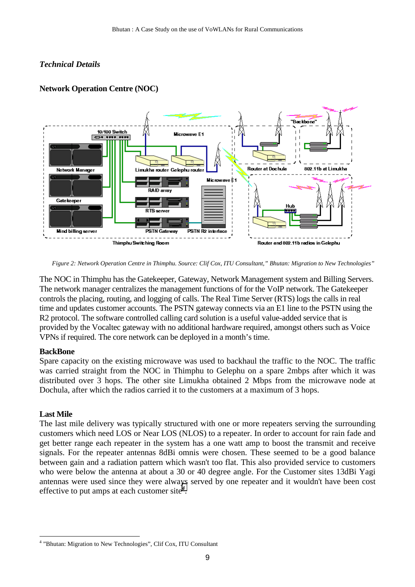#### <span id="page-8-0"></span>*Technical Details*



#### **Network Operation Centre (NOC)**

*Figure 2: Network Operation Centre in Thimphu. Source: Clif Cox, ITU Consultant," Bhutan: Migration to New Technologies"* 

The NOC in Thimphu has the Gatekeeper, Gateway, Network Management system and Billing Servers. The network manager centralizes the management functions of for the VoIP network. The Gatekeeper controls the placing, routing, and logging of calls. The Real Time Server (RTS) logs the calls in real time and updates customer accounts. The PSTN gateway connects via an E1 line to the PSTN using the R2 protocol. The software controlled calling card solution is a useful value-added service that is provided by the Vocaltec gateway with no additional hardware required, amongst others such as Voice VPNs if required. The core network can be deployed in a month's time.

#### **BackBone**

Spare capacity on the existing microwave was used to backhaul the traffic to the NOC. The traffic was carried straight from the NOC in Thimphu to Gelephu on a spare 2mbps after which it was distributed over 3 hops. The other site Limukha obtained 2 Mbps from the microwave node at Dochula, after which the radios carried it to the customers at a maximum of 3 hops.

#### **Last Mile**

 $\overline{a}$ 

The last mile delivery was typically structured with one or more repeaters serving the surrounding customers which need LOS or Near LOS (NLOS) to a repeater. In order to account for rain fade and get better range each repeater in the system has a one watt amp to boost the transmit and receive signals. For the repeater antennas 8dBi omnis were chosen. These seemed to be a good balance between gain and a radiation pattern which wasn't too flat. This also provided service to customers who were below the antenna at about a 30 or 40 degree angle. For the Customer sites 13dBi Yagi antennas were used since they were always served by one repeater and it wouldn't have been cost effective to put amps at each customer site<sup>4</sup>.

<sup>&</sup>lt;sup>4</sup> "Bhutan: Migration to New Technologies", Clif Cox, ITU Consultant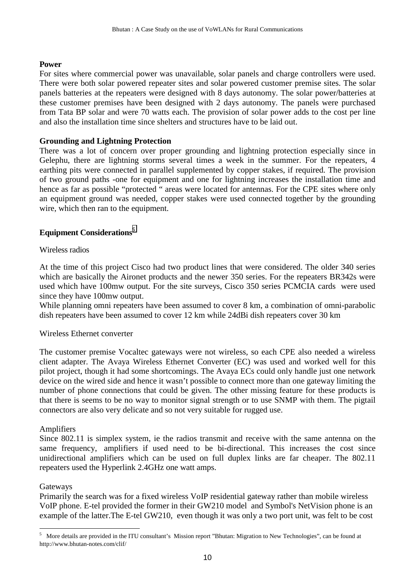#### <span id="page-9-0"></span>**Power**

For sites where commercial power was unavailable, solar panels and charge controllers were used. There were both solar powered repeater sites and solar powered customer premise sites. The solar panels batteries at the repeaters were designed with 8 days autonomy. The solar power/batteries at these customer premises have been designed with 2 days autonomy. The panels were purchased from Tata BP solar and were 70 watts each. The provision of solar power adds to the cost per line and also the installation time since shelters and structures have to be laid out.

#### **Grounding and Lightning Protection**

There was a lot of concern over proper grounding and lightning protection especially since in Gelephu, there are lightning storms several times a week in the summer. For the repeaters, 4 earthing pits were connected in parallel supplemented by copper stakes, if required. The provision of two ground paths -one for equipment and one for lightning increases the installation time and hence as far as possible "protected " areas were located for antennas. For the CPE sites where only an equipment ground was needed, copper stakes were used connected together by the grounding wire, which then ran to the equipment.

## **Equipment Considerations***<sup>5</sup>*

#### Wireless radios

At the time of this project Cisco had two product lines that were considered. The older 340 series which are basically the Aironet products and the newer 350 series. For the repeaters BR342s were used which have 100mw output. For the site surveys, Cisco 350 series PCMCIA cards were used since they have 100mw output.

While planning omni repeaters have been assumed to cover 8 km, a combination of omni-parabolic dish repeaters have been assumed to cover 12 km while 24dBi dish repeaters cover 30 km

#### Wireless Ethernet converter

The customer premise Vocaltec gateways were not wireless, so each CPE also needed a wireless client adapter. The Avaya Wireless Ethernet Converter (EC) was used and worked well for this pilot project, though it had some shortcomings. The Avaya ECs could only handle just one network device on the wired side and hence it wasn't possible to connect more than one gateway limiting the number of phone connections that could be given. The other missing feature for these products is that there is seems to be no way to monitor signal strength or to use SNMP with them. The pigtail connectors are also very delicate and so not very suitable for rugged use.

#### Amplifiers

Since 802.11 is simplex system, ie the radios transmit and receive with the same antenna on the same frequency, amplifiers if used need to be bi-directional. This increases the cost since unidirectional amplifiers which can be used on full duplex links are far cheaper. The 802.11 repeaters used the Hyperlink 2.4GHz one watt amps.

#### **Gateways**

Primarily the search was for a fixed wireless VoIP residential gateway rather than mobile wireless VoIP phone. E-tel provided the former in their GW210 model and Symbol's NetVision phone is an example of the latter.The E-tel GW210, even though it was only a two port unit, was felt to be cost

<sup>5</sup> More details are provided in the ITU consultant's Mission report "Bhutan: Migration to New Technologies", can be found at http://www.bhutan-notes.com/clif/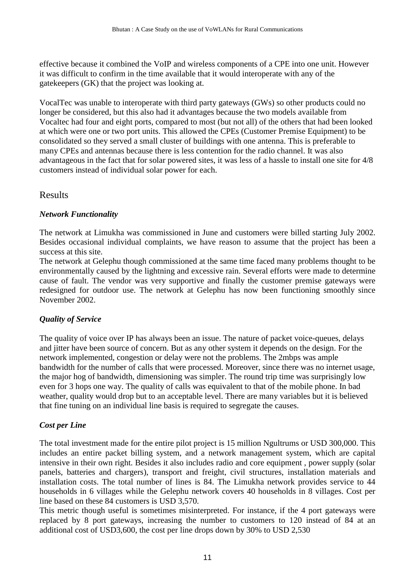<span id="page-10-0"></span>effective because it combined the VoIP and wireless components of a CPE into one unit. However it was difficult to confirm in the time available that it would interoperate with any of the gatekeepers (GK) that the project was looking at.

VocalTec was unable to interoperate with third party gateways (GWs) so other products could no longer be considered, but this also had it advantages because the two models available from Vocaltec had four and eight ports, compared to most (but not all) of the others that had been looked at which were one or two port units. This allowed the CPEs (Customer Premise Equipment) to be consolidated so they served a small cluster of buildings with one antenna. This is preferable to many CPEs and antennas because there is less contention for the radio channel. It was also advantageous in the fact that for solar powered sites, it was less of a hassle to install one site for 4/8 customers instead of individual solar power for each.

#### Results

#### *Network Functionality*

The network at Limukha was commissioned in June and customers were billed starting July 2002. Besides occasional individual complaints, we have reason to assume that the project has been a success at this site.

The network at Gelephu though commissioned at the same time faced many problems thought to be environmentally caused by the lightning and excessive rain. Several efforts were made to determine cause of fault. The vendor was very supportive and finally the customer premise gateways were redesigned for outdoor use. The network at Gelephu has now been functioning smoothly since November 2002.

#### *Quality of Service*

The quality of voice over IP has always been an issue. The nature of packet voice-queues, delays and jitter have been source of concern. But as any other system it depends on the design. For the network implemented, congestion or delay were not the problems. The 2mbps was ample bandwidth for the number of calls that were processed. Moreover, since there was no internet usage, the major hog of bandwidth, dimensioning was simpler. The round trip time was surprisingly low even for 3 hops one way. The quality of calls was equivalent to that of the mobile phone. In bad weather, quality would drop but to an acceptable level. There are many variables but it is believed that fine tuning on an individual line basis is required to segregate the causes.

#### *Cost per Line*

The total investment made for the entire pilot project is 15 million Ngultrums or USD 300,000. This includes an entire packet billing system, and a network management system, which are capital intensive in their own right. Besides it also includes radio and core equipment , power supply (solar panels, batteries and chargers), transport and freight, civil structures, installation materials and installation costs. The total number of lines is 84. The Limukha network provides service to 44 households in 6 villages while the Gelephu network covers 40 households in 8 villages. Cost per line based on these 84 customers is USD 3,570.

This metric though useful is sometimes misinterpreted. For instance, if the 4 port gateways were replaced by 8 port gateways, increasing the number to customers to 120 instead of 84 at an additional cost of USD3,600, the cost per line drops down by 30% to USD 2,530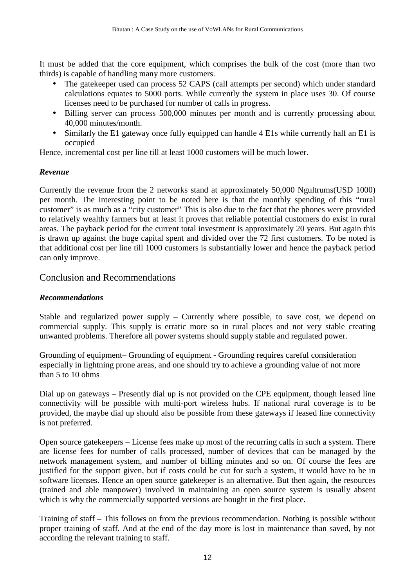<span id="page-11-0"></span>It must be added that the core equipment, which comprises the bulk of the cost (more than two thirds) is capable of handling many more customers.

- The gatekeeper used can process 52 CAPS (call attempts per second) which under standard calculations equates to 5000 ports. While currently the system in place uses 30. Of course licenses need to be purchased for number of calls in progress.
- Billing server can process 500,000 minutes per month and is currently processing about 40,000 minutes/month.
- Similarly the E1 gateway once fully equipped can handle 4 E1s while currently half an E1 is occupied

Hence, incremental cost per line till at least 1000 customers will be much lower.

#### *Revenue*

Currently the revenue from the 2 networks stand at approximately 50,000 Ngultrums(USD 1000) per month. The interesting point to be noted here is that the monthly spending of this "rural customer" is as much as a "city customer" This is also due to the fact that the phones were provided to relatively wealthy farmers but at least it proves that reliable potential customers do exist in rural areas. The payback period for the current total investment is approximately 20 years. But again this is drawn up against the huge capital spent and divided over the 72 first customers. To be noted is that additional cost per line till 1000 customers is substantially lower and hence the payback period can only improve.

## Conclusion and Recommendations

#### *Recommendations*

Stable and regularized power supply – Currently where possible, to save cost, we depend on commercial supply. This supply is erratic more so in rural places and not very stable creating unwanted problems. Therefore all power systems should supply stable and regulated power.

Grounding of equipment– Grounding of equipment - Grounding requires careful consideration especially in lightning prone areas, and one should try to achieve a grounding value of not more than 5 to 10 ohms

Dial up on gateways – Presently dial up is not provided on the CPE equipment, though leased line connectivity will be possible with multi-port wireless hubs. If national rural coverage is to be provided, the maybe dial up should also be possible from these gateways if leased line connectivity is not preferred.

Open source gatekeepers – License fees make up most of the recurring calls in such a system. There are license fees for number of calls processed, number of devices that can be managed by the network management system, and number of billing minutes and so on. Of course the fees are justified for the support given, but if costs could be cut for such a system, it would have to be in software licenses. Hence an open source gatekeeper is an alternative. But then again, the resources (trained and able manpower) involved in maintaining an open source system is usually absent which is why the commercially supported versions are bought in the first place.

Training of staff – This follows on from the previous recommendation. Nothing is possible without proper training of staff. And at the end of the day more is lost in maintenance than saved, by not according the relevant training to staff.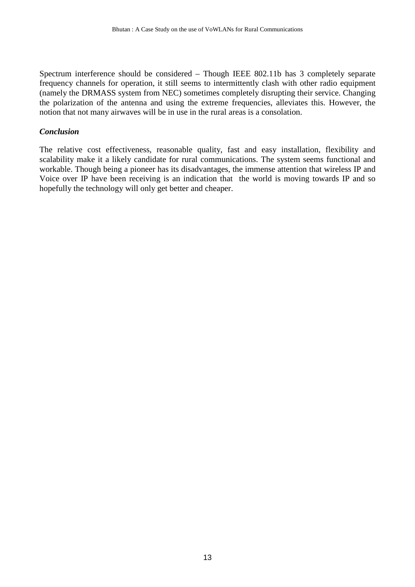<span id="page-12-0"></span>Spectrum interference should be considered – Though IEEE 802.11b has 3 completely separate frequency channels for operation, it still seems to intermittently clash with other radio equipment (namely the DRMASS system from NEC) sometimes completely disrupting their service. Changing the polarization of the antenna and using the extreme frequencies, alleviates this. However, the notion that not many airwaves will be in use in the rural areas is a consolation.

#### *Conclusion*

The relative cost effectiveness, reasonable quality, fast and easy installation, flexibility and scalability make it a likely candidate for rural communications. The system seems functional and workable. Though being a pioneer has its disadvantages, the immense attention that wireless IP and Voice over IP have been receiving is an indication that the world is moving towards IP and so hopefully the technology will only get better and cheaper.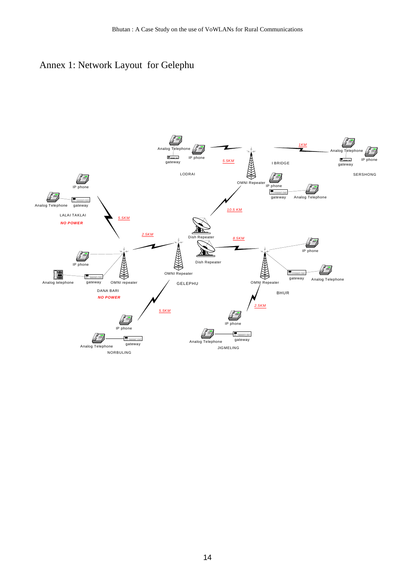